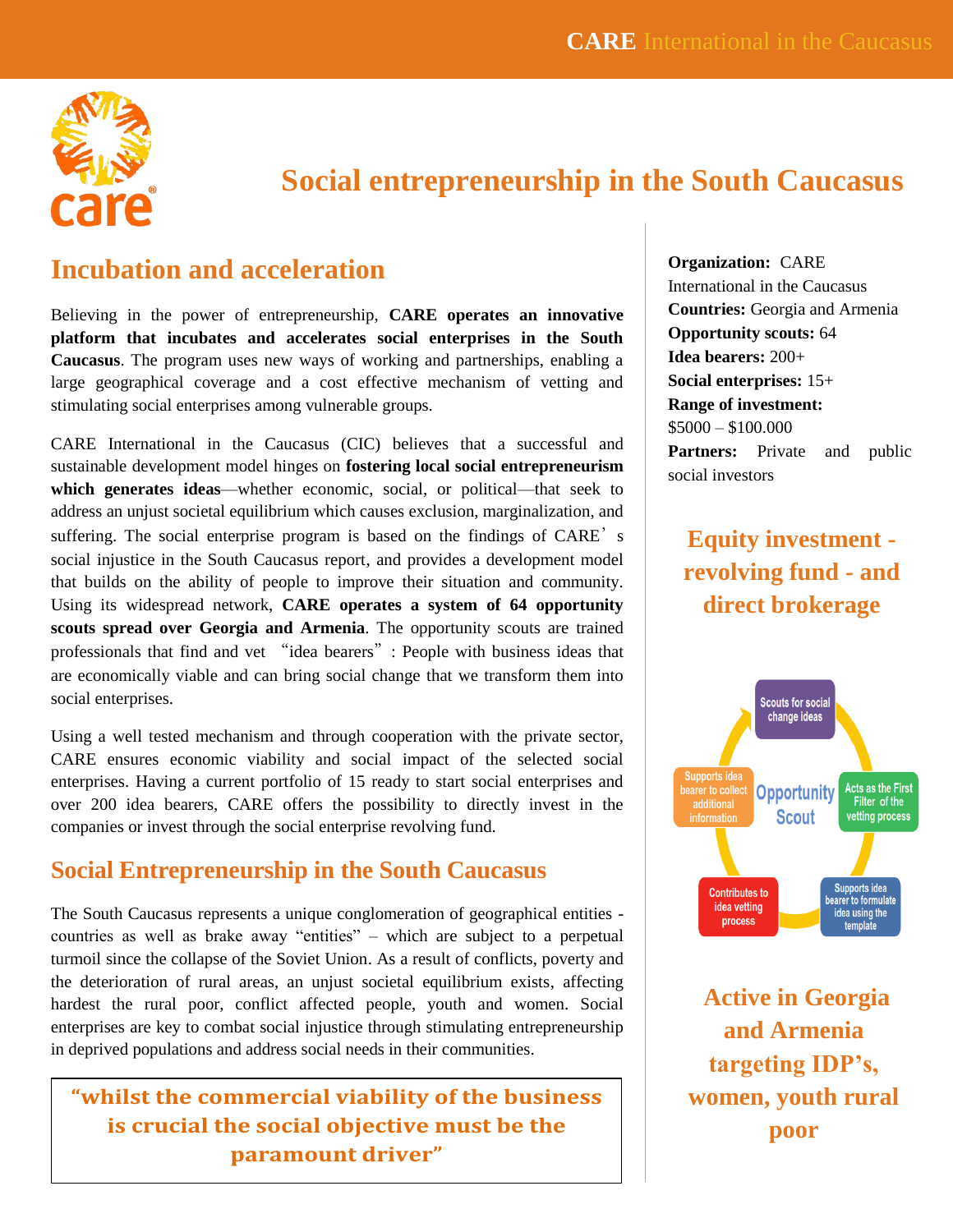

# **Social entrepreneurship in the South Caucasus**

## **Incubation and acceleration**

Believing in the power of entrepreneurship, **CARE operates an innovative platform that incubates and accelerates social enterprises in the South Caucasus**. The program uses new ways of working and partnerships, enabling a large geographical coverage and a cost effective mechanism of vetting and stimulating social enterprises among vulnerable groups.

CARE International in the Caucasus (CIC) believes that a successful and sustainable development model hinges on **fostering local social entrepreneurism which generates ideas**—whether economic, social, or political—that seek to address an unjust societal equilibrium which causes exclusion, marginalization, and suffering. The social enterprise program is based on the findings of CARE's social injustice in the South Caucasus report, and provides a development model that builds on the ability of people to improve their situation and community. Using its widespread network, **CARE operates a system of 64 opportunity scouts spread over Georgia and Armenia**. The opportunity scouts are trained professionals that find and vet "idea bearers": People with business ideas that are economically viable and can bring social change that we transform them into social enterprises.

Using a well tested mechanism and through cooperation with the private sector, CARE ensures economic viability and social impact of the selected social enterprises. Having a current portfolio of 15 ready to start social enterprises and over 200 idea bearers, CARE offers the possibility to directly invest in the companies or invest through the social enterprise revolving fund.

### **Social Entrepreneurship in the South Caucasus**

The South Caucasus represents a unique conglomeration of geographical entities countries as well as brake away "entities" – which are subject to a perpetual turmoil since the collapse of the Soviet Union. As a result of conflicts, poverty and the deterioration of rural areas, an unjust societal equilibrium exists, affecting hardest the rural poor, conflict affected people, youth and women. Social enterprises are key to combat social injustice through stimulating entrepreneurship in deprived populations and address social needs in their communities.

### **"whilst the commercial viability of the business is crucial the social objective must be the paramount driver"**

**Organization:** CARE International in the Caucasus **Countries:** Georgia and Armenia **Opportunity scouts:** 64 **Idea bearers:** 200+ **Social enterprises:** 15+ **Range of investment:**  $$5000 - $100.000$ **Partners:** Private and public social investors

**Equity investment revolving fund - and direct brokerage**



**Active in Georgia and Armenia targeting IDP's, women, youth rural poor**